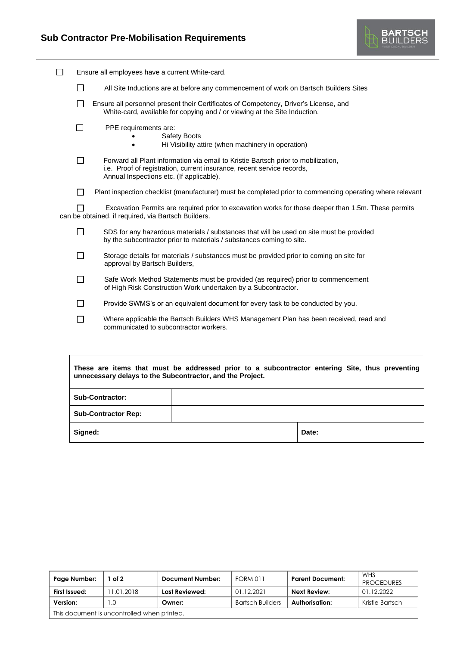$\mathsf{r}$ 



٦

| ı | Ensure all employees have a current White-card. |                                                                                                                                                                                                         |  |  |  |
|---|-------------------------------------------------|---------------------------------------------------------------------------------------------------------------------------------------------------------------------------------------------------------|--|--|--|
|   | $\Box$                                          | All Site Inductions are at before any commencement of work on Bartsch Builders Sites                                                                                                                    |  |  |  |
|   | $\Box$                                          | Ensure all personnel present their Certificates of Competency, Driver's License, and<br>White-card, available for copying and / or viewing at the Site Induction.                                       |  |  |  |
|   | $\mathcal{L}$                                   | PPE requirements are:<br><b>Safety Boots</b><br>Hi Visibility attire (when machinery in operation)                                                                                                      |  |  |  |
|   | $\Box$                                          | Forward all Plant information via email to Kristie Bartsch prior to mobilization,<br>i.e. Proof of registration, current insurance, recent service records,<br>Annual Inspections etc. (If applicable). |  |  |  |
|   | $\Box$                                          | Plant inspection checklist (manufacturer) must be completed prior to commencing operating where relevant                                                                                                |  |  |  |
|   |                                                 | Excavation Permits are required prior to excavation works for those deeper than 1.5m. These permits<br>can be obtained, if required, via Bartsch Builders.                                              |  |  |  |
|   | П                                               | SDS for any hazardous materials / substances that will be used on site must be provided<br>by the subcontractor prior to materials / substances coming to site.                                         |  |  |  |
|   | П                                               | Storage details for materials / substances must be provided prior to coming on site for<br>approval by Bartsch Builders,                                                                                |  |  |  |
|   | П                                               | Safe Work Method Statements must be provided (as required) prior to commencement<br>of High Risk Construction Work undertaken by a Subcontractor.                                                       |  |  |  |
|   | П                                               | Provide SWMS's or an equivalent document for every task to be conducted by you.                                                                                                                         |  |  |  |
|   | П                                               | Where applicable the Bartsch Builders WHS Management Plan has been received, read and<br>communicated to subcontractor workers.                                                                         |  |  |  |
|   |                                                 |                                                                                                                                                                                                         |  |  |  |

| These are items that must be addressed prior to a subcontractor entering Site, thus preventing<br>unnecessary delays to the Subcontractor, and the Project. |       |  |  |  |  |  |
|-------------------------------------------------------------------------------------------------------------------------------------------------------------|-------|--|--|--|--|--|
| <b>Sub-Contractor:</b>                                                                                                                                      |       |  |  |  |  |  |
| <b>Sub-Contractor Rep:</b>                                                                                                                                  |       |  |  |  |  |  |
| Signed:                                                                                                                                                     | Date: |  |  |  |  |  |

| Page Number:                                | of $2$     | Document Number: | <b>FORM 011</b>         | <b>Parent Document:</b> | WHS<br><b>PROCEDURES</b> |  |  |  |
|---------------------------------------------|------------|------------------|-------------------------|-------------------------|--------------------------|--|--|--|
| First Issued:                               | 11.01.2018 | Last Reviewed:   | 01.12.2021              | <b>Next Review:</b>     | 01.12.2022               |  |  |  |
| Version:                                    | .0         | Owner:           | <b>Bartsch Builders</b> | Authorisation:          | Kristie Bartsch          |  |  |  |
| This document is uncontrolled when printed. |            |                  |                         |                         |                          |  |  |  |